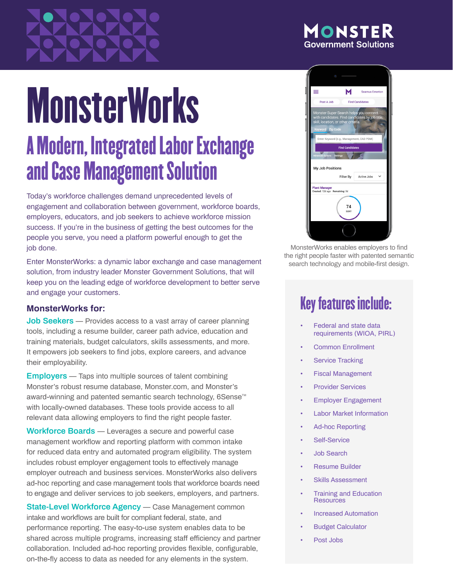## ONSTER **Government Solutions**

# MonsterWorks A Modern, Integrated Labor Exchange and Case Management Solution

Today's workforce challenges demand unprecedented levels of engagement and collaboration between government, workforce boards, employers, educators, and job seekers to achieve workforce mission success. If you're in the business of getting the best outcomes for the people you serve, you need a platform powerful enough to get the job done.

Enter MonsterWorks: a dynamic labor exchange and case management solution, from industry leader Monster Government Solutions, that will keep you on the leading edge of workforce development to better serve and engage your customers.

### **MonsterWorks for:**

**Job Seekers** — Provides access to a vast array of career planning tools, including a resume builder, career path advice, education and training materials, budget calculators, skills assessments, and more. It empowers job seekers to find jobs, explore careers, and advance their employability.

**Employers** — Taps into multiple sources of talent combining Monster's robust resume database, Monster.com, and Monster's award-winning and patented semantic search technology, 6Sense<sup>™</sup> with locally-owned databases. These tools provide access to all relevant data allowing employers to find the right people faster.

**Workforce Boards** — Leverages a secure and powerful case management workflow and reporting platform with common intake for reduced data entry and automated program eligibility. The system includes robust employer engagement tools to effectively manage employer outreach and business services. MonsterWorks also delivers ad-hoc reporting and case management tools that workforce boards need to engage and deliver services to job seekers, employers, and partners.

**State-Level Workforce Agency** — Case Management common intake and workflows are built for compliant federal, state, and performance reporting. The easy-to-use system enables data to be shared across multiple programs, increasing staff efficiency and partner collaboration. Included ad-hoc reporting provides flexible, configurable, on-the-fly access to data as needed for any elements in the system.



MonsterWorks enables employers to find the right people faster with patented semantic search technology and mobile-first design.

# Key features include:

- Federal and state data requirements (WIOA, PIRL)
- Common Enrollment
- **Service Tracking**
- Fiscal Management
- **Provider Services**
- Employer Engagement
- **Labor Market Information**
- Ad-hoc Reporting
- Self-Service
- Job Search
- Resume Builder
- **Skills Assessment**
- Training and Education **Resources**
- Increased Automation
- Budget Calculator
- Post Jobs